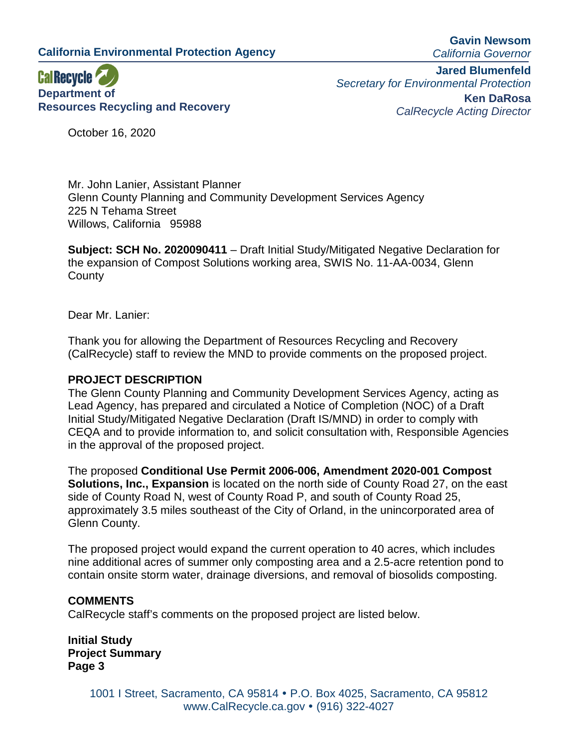**California Environmental Protection Agency**

**Gavin Newsom** *California Governor*



**Jared Blumenfeld** *Secretary for Environmental Protection* **Ken DaRosa** *CalRecycle Acting Director*

October 16, 2020

Mr. John Lanier, Assistant Planner Glenn County Planning and Community Development Services Agency 225 N Tehama Street Willows, California 95988

**Subject: SCH No. 2020090411** – Draft Initial Study/Mitigated Negative Declaration for the expansion of Compost Solutions working area, SWIS No. 11-AA-0034, Glenn **County** 

Dear Mr. Lanier:

Thank you for allowing the Department of Resources Recycling and Recovery (CalRecycle) staff to review the MND to provide comments on the proposed project.

## **PROJECT DESCRIPTION**

The Glenn County Planning and Community Development Services Agency, acting as Lead Agency, has prepared and circulated a Notice of Completion (NOC) of a Draft Initial Study/Mitigated Negative Declaration (Draft IS/MND) in order to comply with CEQA and to provide information to, and solicit consultation with, Responsible Agencies in the approval of the proposed project.

The proposed **Conditional Use Permit 2006-006, Amendment 2020-001 Compost Solutions, Inc., Expansion** is located on the north side of County Road 27, on the east side of County Road N, west of County Road P, and south of County Road 25, approximately 3.5 miles southeast of the City of Orland, in the unincorporated area of Glenn County.

The proposed project would expand the current operation to 40 acres, which includes nine additional acres of summer only composting area and a 2.5-acre retention pond to contain onsite storm water, drainage diversions, and removal of biosolids composting.

#### **COMMENTS**

CalRecycle staff's comments on the proposed project are listed below.

**Initial Study Project Summary Page 3**

> 1001 I Street, Sacramento, CA 95814 P.O. Box 4025, Sacramento, CA 95812 www.CalRecycle.ca.gov • (916) 322-4027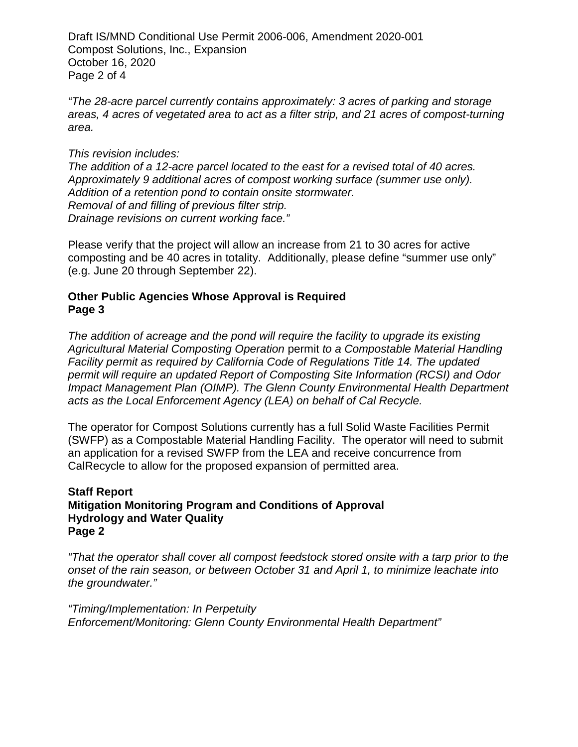Draft IS/MND Conditional Use Permit 2006-006, Amendment 2020-001 Compost Solutions, Inc., Expansion October 16, 2020 Page 2 of 4

*"The 28-acre parcel currently contains approximately: 3 acres of parking and storage areas, 4 acres of vegetated area to act as a filter strip, and 21 acres of compost-turning area.* 

*This revision includes: The addition of a 12-acre parcel located to the east for a revised total of 40 acres. Approximately 9 additional acres of compost working surface (summer use only). Addition of a retention pond to contain onsite stormwater. Removal of and filling of previous filter strip. Drainage revisions on current working face."*

Please verify that the project will allow an increase from 21 to 30 acres for active composting and be 40 acres in totality. Additionally, please define "summer use only" (e.g. June 20 through September 22).

# **Other Public Agencies Whose Approval is Required Page 3**

*The addition of acreage and the pond will require the facility to upgrade its existing Agricultural Material Composting Operation* permit *to a Compostable Material Handling Facility permit as required by California Code of Regulations Title 14. The updated permit will require an updated Report of Composting Site Information (RCSI) and Odor Impact Management Plan (OIMP). The Glenn County Environmental Health Department acts as the Local Enforcement Agency (LEA) on behalf of Cal Recycle.*

The operator for Compost Solutions currently has a full Solid Waste Facilities Permit (SWFP) as a Compostable Material Handling Facility. The operator will need to submit an application for a revised SWFP from the LEA and receive concurrence from CalRecycle to allow for the proposed expansion of permitted area.

## **Staff Report Mitigation Monitoring Program and Conditions of Approval Hydrology and Water Quality Page 2**

*"That the operator shall cover all compost feedstock stored onsite with a tarp prior to the onset of the rain season, or between October 31 and April 1, to minimize leachate into the groundwater."*

*"Timing/Implementation: In Perpetuity Enforcement/Monitoring: Glenn County Environmental Health Department"*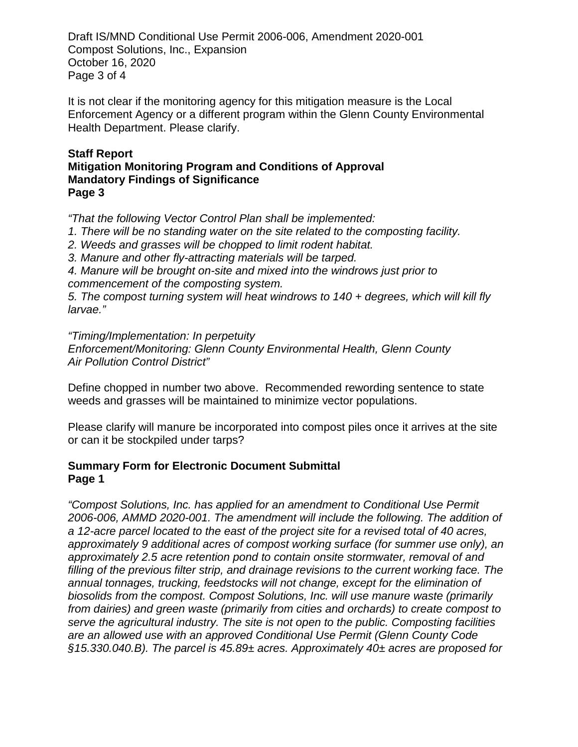Draft IS/MND Conditional Use Permit 2006-006, Amendment 2020-001 Compost Solutions, Inc., Expansion October 16, 2020 Page 3 of 4

It is not clear if the monitoring agency for this mitigation measure is the Local Enforcement Agency or a different program within the Glenn County Environmental Health Department. Please clarify.

#### **Staff Report Mitigation Monitoring Program and Conditions of Approval Mandatory Findings of Significance Page 3**

*"That the following Vector Control Plan shall be implemented:*

- *1. There will be no standing water on the site related to the composting facility.*
- *2. Weeds and grasses will be chopped to limit rodent habitat.*
- *3. Manure and other fly-attracting materials will be tarped.*

*4. Manure will be brought on-site and mixed into the windrows just prior to commencement of the composting system.*

*5. The compost turning system will heat windrows to 140 + degrees, which will kill fly larvae."*

*"Timing/Implementation: In perpetuity*

*Enforcement/Monitoring: Glenn County Environmental Health, Glenn County Air Pollution Control District"* 

Define chopped in number two above. Recommended rewording sentence to state weeds and grasses will be maintained to minimize vector populations.

Please clarify will manure be incorporated into compost piles once it arrives at the site or can it be stockpiled under tarps?

# **Summary Form for Electronic Document Submittal Page 1**

*"Compost Solutions, Inc. has applied for an amendment to Conditional Use Permit 2006-006, AMMD 2020-001. The amendment will include the following. The addition of a 12-acre parcel located to the east of the project site for a revised total of 40 acres, approximately 9 additional acres of compost working surface (for summer use only), an approximately 2.5 acre retention pond to contain onsite stormwater, removal of and filling of the previous filter strip, and drainage revisions to the current working face. The annual tonnages, trucking, feedstocks will not change, except for the elimination of biosolids from the compost. Compost Solutions, Inc. will use manure waste (primarily from dairies) and green waste (primarily from cities and orchards) to create compost to serve the agricultural industry. The site is not open to the public. Composting facilities are an allowed use with an approved Conditional Use Permit (Glenn County Code §15.330.040.B). The parcel is 45.89± acres. Approximately 40± acres are proposed for*